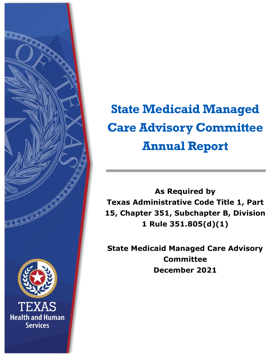

# **State Medicaid Managed Care Advisory Committee Annual Report**

**As Required by Texas Administrative Code Title 1, Part 15, Chapter 351, Subchapter B, Division 1 Rule 351.805(d)(1)**

**State Medicaid Managed Care Advisory Committee December 2021**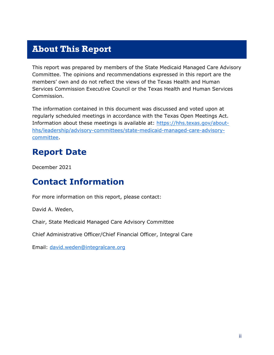#### <span id="page-1-0"></span>**About This Report**

This report was prepared by members of the State Medicaid Managed Care Advisory Committee. The opinions and recommendations expressed in this report are the members' own and do not reflect the views of the Texas Health and Human Services Commission Executive Council or the Texas Health and Human Services Commission.

The information contained in this document was discussed and voted upon at regularly scheduled meetings in accordance with the Texas Open Meetings Act. Information about these meetings is available at: [https://hhs.texas.gov/about](https://hhs.texas.gov/about-hhs/leadership/advisory-committees/state-medicaid-managed-care-advisory-committee)[hhs/leadership/advisory-committees/state-medicaid-managed-care-advisory](https://hhs.texas.gov/about-hhs/leadership/advisory-committees/state-medicaid-managed-care-advisory-committee)[committee.](https://hhs.texas.gov/about-hhs/leadership/advisory-committees/state-medicaid-managed-care-advisory-committee)

#### <span id="page-1-1"></span>**Report Date**

December 2021

#### <span id="page-1-2"></span>**Contact Information**

For more information on this report, please contact:

David A. Weden,

Chair, State Medicaid Managed Care Advisory Committee

Chief Administrative Officer/Chief Financial Officer, Integral Care

Email: [david.weden@integralcare.org](mailto:david.weden@integralcare.org)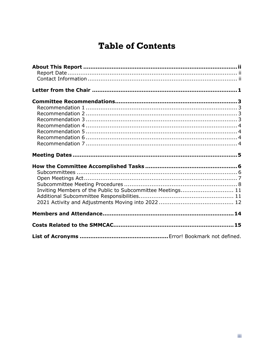#### **Table of Contents**

| Inviting Members of the Public to Subcommittee Meetings 11 |  |
|------------------------------------------------------------|--|
|                                                            |  |
|                                                            |  |
|                                                            |  |
|                                                            |  |
|                                                            |  |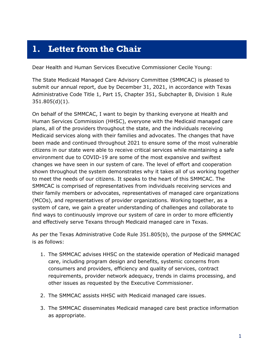#### <span id="page-3-0"></span>**1. Letter from the Chair**

Dear Health and Human Services Executive Commissioner Cecile Young:

The State Medicaid Managed Care Advisory Committee (SMMCAC) is pleased to submit our annual report, due by December 31, 2021, in accordance with Texas Administrative Code Title 1, Part 15, Chapter 351, Subchapter B, Division 1 Rule 351.805(d)(1).

On behalf of the SMMCAC, I want to begin by thanking everyone at Health and Human Services Commission (HHSC), everyone with the Medicaid managed care plans, all of the providers throughout the state, and the individuals receiving Medicaid services along with their families and advocates. The changes that have been made and continued throughout 2021 to ensure some of the most vulnerable citizens in our state were able to receive critical services while maintaining a safe environment due to COVID-19 are some of the most expansive and swiftest changes we have seen in our system of care. The level of effort and cooperation shown throughout the system demonstrates why it takes all of us working together to meet the needs of our citizens. It speaks to the heart of this SMMCAC. The SMMCAC is comprised of representatives from individuals receiving services and their family members or advocates, representatives of managed care organizations (MCOs), and representatives of provider organizations. Working together, as a system of care, we gain a greater understanding of challenges and collaborate to find ways to continuously improve our system of care in order to more efficiently and effectively serve Texans through Medicaid managed care in Texas.

As per the Texas Administrative Code Rule 351.805(b), the purpose of the SMMCAC is as follows:

- 1. The SMMCAC advises HHSC on the statewide operation of Medicaid managed care, including program design and benefits, systemic concerns from consumers and providers, efficiency and quality of services, contract requirements, provider network adequacy, trends in claims processing, and other issues as requested by the Executive Commissioner.
- 2. The SMMCAC assists HHSC with Medicaid managed care issues.
- 3. The SMMCAC disseminates Medicaid managed care best practice information as appropriate.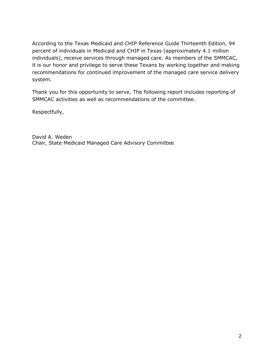According to the Texas Medicaid and CHIP Reference Guide Thirteenth Edition, 94 percent of individuals in Medicaid and CHIP in Texas (approximately 4.1 million individuals), receive services through managed care. As members of the SMMCAC, it is our honor and privilege to serve these Texans by working together and making recommendations for continued improvement of the managed care service delivery system.

Thank you for this opportunity to serve. The following report includes reporting of SMMCAC activities as well as recommendations of the committee.

Respectfully,

David A. Weden Chair, State Medicaid Managed Care Advisory Committee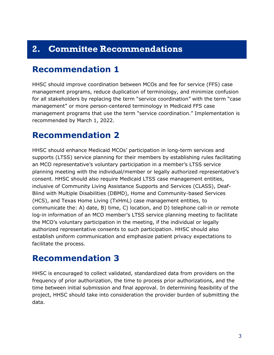#### <span id="page-5-0"></span>**2. Committee Recommendations**

#### <span id="page-5-1"></span>**Recommendation 1**

HHSC should improve coordination between MCOs and fee for service (FFS) case management programs, reduce duplication of terminology, and minimize confusion for all stakeholders by replacing the term "service coordination" with the term "case management" or more person-centered terminology in Medicaid FFS case management programs that use the term "service coordination." Implementation is recommended by March 1, 2022.

#### <span id="page-5-2"></span>**Recommendation 2**

HHSC should enhance Medicaid MCOs' participation in long-term services and supports (LTSS) service planning for their members by establishing rules facilitating an MCO representative's voluntary participation in a member's LTSS service planning meeting with the individual/member or legally authorized representative's consent. HHSC should also require Medicaid LTSS case management entities, inclusive of Community Living Assistance Supports and Services (CLASS), Deaf-Blind with Multiple Disabilities (DBMD), Home and Community-based Services (HCS), and Texas Home Living (TxHmL) case management entities, to communicate the: A) date, B) time, C) location, and D) telephone call-in or remote log-in information of an MCO member's LTSS service planning meeting to facilitate the MCO's voluntary participation in the meeting, if the individual or legally authorized representative consents to such participation. HHSC should also establish uniform communication and emphasize patient privacy expectations to facilitate the process.

#### <span id="page-5-3"></span>**Recommendation 3**

HHSC is encouraged to collect validated, standardized data from providers on the frequency of prior authorization, the time to process prior authorizations, and the time between initial submission and final approval. In determining feasibility of the project, HHSC should take into consideration the provider burden of submitting the data.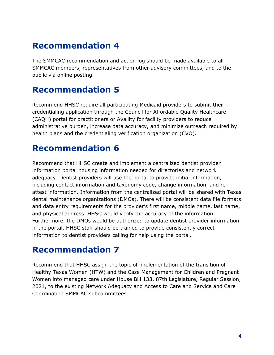#### <span id="page-6-0"></span>**Recommendation 4**

The SMMCAC recommendation and action log should be made available to all SMMCAC members, representatives from other advisory committees, and to the public via online posting.

#### <span id="page-6-1"></span>**Recommendation 5**

Recommend HHSC require all participating Medicaid providers to submit their credentialing application through the Council for Affordable Quality Healthcare (CAQH) portal for practitioners or Availity for facility providers to reduce administrative burden, increase data accuracy, and minimize outreach required by health plans and the credentialing verification organization (CVO).

# <span id="page-6-2"></span>**Recommendation 6**

Recommend that HHSC create and implement a centralized dentist provider information portal housing information needed for directories and network adequacy. Dentist providers will use the portal to provide initial information, including contact information and taxonomy code, change information, and reattest information. Information from the centralized portal will be shared with Texas dental maintenance organizations (DMOs). There will be consistent data file formats and data entry requirements for the provider's first name, middle name, last name, and physical address. HHSC would verify the accuracy of the information. Furthermore, the DMOs would be authorized to update dentist provider information in the portal. HHSC staff should be trained to provide consistently correct information to dentist providers calling for help using the portal.

#### <span id="page-6-3"></span>**Recommendation 7**

Recommend that HHSC assign the topic of implementation of the transition of Healthy Texas Women (HTW) and the Case Management for Children and Pregnant Women into managed care under House Bill 133, 87th Legislature, Regular Session, 2021, to the existing Network Adequacy and Access to Care and Service and Care Coordination SMMCAC subcommittees.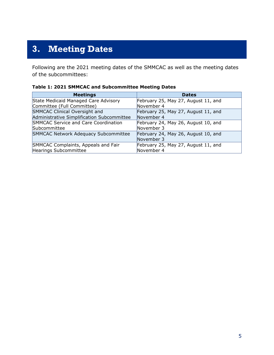# <span id="page-7-0"></span>**3. Meeting Dates**

Following are the 2021 meeting dates of the SMMCAC as well as the meeting dates of the subcommittees:

| <b>Meetings</b>                            | <b>Dates</b>                        |
|--------------------------------------------|-------------------------------------|
| State Medicaid Managed Care Advisory       | February 25, May 27, August 11, and |
| Committee (Full Committee)                 | November 4                          |
| SMMCAC Clinical Oversight and              | February 25, May 27, August 11, and |
| Administrative Simplification Subcommittee | November 4                          |
| SMMCAC Service and Care Coordination       | February 24, May 26, August 10, and |
| Subcommittee                               | November 3                          |
| SMMCAC Network Adequacy Subcommittee       | February 24, May 26, August 10, and |
|                                            | November 3                          |
| SMMCAC Complaints, Appeals and Fair        | February 25, May 27, August 11, and |
| Hearings Subcommittee                      | November 4                          |

#### **Table 1: 2021 SMMCAC and Subcommittee Meeting Dates**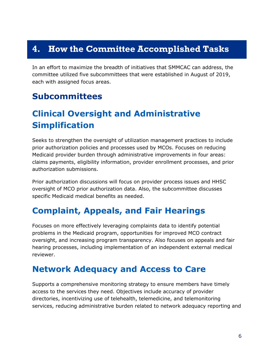#### <span id="page-8-0"></span>**4. How the Committee Accomplished Tasks**

In an effort to maximize the breadth of initiatives that SMMCAC can address, the committee utilized five subcommittees that were established in August of 2019, each with assigned focus areas.

#### <span id="page-8-1"></span>**Subcommittees**

# **Clinical Oversight and Administrative Simplification**

Seeks to strengthen the oversight of utilization management practices to include prior authorization policies and processes used by MCOs. Focuses on reducing Medicaid provider burden through administrative improvements in four areas: claims payments, eligibility information, provider enrollment processes, and prior authorization submissions.

Prior authorization discussions will focus on provider process issues and HHSC oversight of MCO prior authorization data. Also, the subcommittee discusses specific Medicaid medical benefits as needed.

#### **Complaint, Appeals, and Fair Hearings**

Focuses on more effectively leveraging complaints data to identify potential problems in the Medicaid program, opportunities for improved MCO contract oversight, and increasing program transparency. Also focuses on appeals and fair hearing processes, including implementation of an independent external medical reviewer.

#### **Network Adequacy and Access to Care**

Supports a comprehensive monitoring strategy to ensure members have timely access to the services they need. Objectives include accuracy of provider directories, incentivizing use of telehealth, telemedicine, and telemonitoring services, reducing administrative burden related to network adequacy reporting and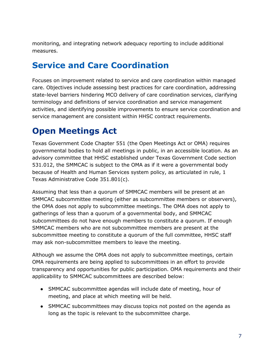monitoring, and integrating network adequacy reporting to include additional measures.

#### **Service and Care Coordination**

Focuses on improvement related to service and care coordination within managed care. Objectives include assessing best practices for care coordination, addressing state-level barriers hindering MCO delivery of care coordination services, clarifying terminology and definitions of service coordination and service management activities, and identifying possible improvements to ensure service coordination and service management are consistent within HHSC contract requirements.

## <span id="page-9-0"></span>**Open Meetings Act**

Texas Government Code Chapter 551 (the Open Meetings Act or OMA) requires governmental bodies to hold all meetings in public, in an accessible location. As an advisory committee that HHSC established under Texas Government Code section 531.012, the SMMCAC is subject to the OMA as if it were a governmental body because of Health and Human Services system policy, as articulated in rule, 1 Texas Administrative Code 351.801(c).

Assuming that less than a quorum of SMMCAC members will be present at an SMMCAC subcommittee meeting (either as subcommittee members or observers), the OMA does not apply to subcommittee meetings. The OMA does not apply to gatherings of less than a quorum of a governmental body, and SMMCAC subcommittees do not have enough members to constitute a quorum. If enough SMMCAC members who are not subcommittee members are present at the subcommittee meeting to constitute a quorum of the full committee, HHSC staff may ask non-subcommittee members to leave the meeting.

Although we assume the OMA does not apply to subcommittee meetings, certain OMA requirements are being applied to subcommittees in an effort to provide transparency and opportunities for public participation. OMA requirements and their applicability to SMMCAC subcommittees are described below:

- SMMCAC subcommittee agendas will include date of meeting, hour of meeting, and place at which meeting will be held.
- SMMCAC subcommittees may discuss topics not posted on the agenda as long as the topic is relevant to the subcommittee charge.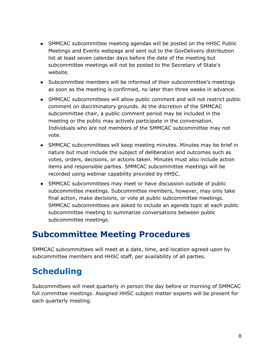- SMMCAC subcommittee meeting agendas will be posted on the HHSC Public Meetings and Events webpage and sent out to the GovDelivery distribution list at least seven calendar days before the date of the meeting but subcommittee meetings will not be posted to the Secretary of State's website.
- Subcommittee members will be informed of their subcommittee's meetings as soon as the meeting is confirmed, no later than three weeks in advance.
- SMMCAC subcommittees will allow public comment and will not restrict public comment on discriminatory grounds. At the discretion of the SMMCAC subcommittee chair, a public comment period may be included in the meeting or the public may actively participate in the conversation. Individuals who are not members of the SMMCAC subcommittee may not vote.
- SMMCAC subcommittees will keep meeting minutes. Minutes may be brief in nature but must include the subject of deliberation and outcomes such as votes, orders, decisions, or actions taken. Minutes must also include action items and responsible parties. SMMCAC subcommittee meetings will be recorded using webinar capability provided by HHSC.
- SMMCAC subcommittees may meet or have discussion outside of public subcommittee meetings. Subcommittee members, however, may only take final action, make decisions, or vote at public subcommittee meetings. SMMCAC subcommittees are asked to include an agenda topic at each public subcommittee meeting to summarize conversations between public subcommittee meetings.

#### <span id="page-10-0"></span>**Subcommittee Meeting Procedures**

SMMCAC subcommittees will meet at a date, time, and location agreed upon by subcommittee members and HHSC staff, per availability of all parties.

# **Scheduling**

Subcommittees will meet quarterly in person the day before or morning of SMMCAC full committee meetings. Assigned HHSC subject matter experts will be present for each quarterly meeting.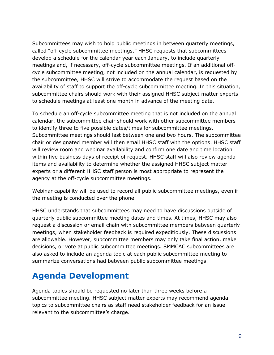Subcommittees may wish to hold public meetings in between quarterly meetings, called "off-cycle subcommittee meetings." HHSC requests that subcommittees develop a schedule for the calendar year each January, to include quarterly meetings and, if necessary, off-cycle subcommittee meetings. If an additional offcycle subcommittee meeting, not included on the annual calendar, is requested by the subcommittee, HHSC will strive to accommodate the request based on the availability of staff to support the off-cycle subcommittee meeting. In this situation, subcommittee chairs should work with their assigned HHSC subject matter experts to schedule meetings at least one month in advance of the meeting date.

To schedule an off-cycle subcommittee meeting that is not included on the annual calendar, the subcommittee chair should work with other subcommittee members to identify three to five possible dates/times for subcommittee meetings. Subcommittee meetings should last between one and two hours. The subcommittee chair or designated member will then email HHSC staff with the options. HHSC staff will review room and webinar availability and confirm one date and time location within five business days of receipt of request. HHSC staff will also review agenda items and availability to determine whether the assigned HHSC subject matter experts or a different HHSC staff person is most appropriate to represent the agency at the off-cycle subcommittee meetings.

Webinar capability will be used to record all public subcommittee meetings, even if the meeting is conducted over the phone.

HHSC understands that subcommittees may need to have discussions outside of quarterly public subcommittee meeting dates and times. At times, HHSC may also request a discussion or email chain with subcommittee members between quarterly meetings, when stakeholder feedback is required expeditiously. These discussions are allowable. However, subcommittee members may only take final action, make decisions, or vote at public subcommittee meetings. SMMCAC subcommittees are also asked to include an agenda topic at each public subcommittee meeting to summarize conversations had between public subcommittee meetings.

## **Agenda Development**

Agenda topics should be requested no later than three weeks before a subcommittee meeting. HHSC subject matter experts may recommend agenda topics to subcommittee chairs as staff need stakeholder feedback for an issue relevant to the subcommittee's charge.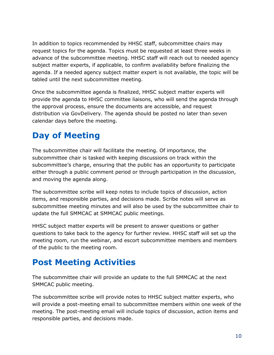In addition to topics recommended by HHSC staff, subcommittee chairs may request topics for the agenda. Topics must be requested at least three weeks in advance of the subcommittee meeting. HHSC staff will reach out to needed agency subject matter experts, if applicable, to confirm availability before finalizing the agenda. If a needed agency subject matter expert is not available, the topic will be tabled until the next subcommittee meeting.

Once the subcommittee agenda is finalized, HHSC subject matter experts will provide the agenda to HHSC committee liaisons, who will send the agenda through the approval process, ensure the documents are accessible, and request distribution via GovDelivery. The agenda should be posted no later than seven calendar days before the meeting.

## **Day of Meeting**

The subcommittee chair will facilitate the meeting. Of importance, the subcommittee chair is tasked with keeping discussions on track within the subcommittee's charge, ensuring that the public has an opportunity to participate either through a public comment period or through participation in the discussion, and moving the agenda along.

The subcommittee scribe will keep notes to include topics of discussion, action items, and responsible parties, and decisions made. Scribe notes will serve as subcommittee meeting minutes and will also be used by the subcommittee chair to update the full SMMCAC at SMMCAC public meetings.

HHSC subject matter experts will be present to answer questions or gather questions to take back to the agency for further review. HHSC staff will set up the meeting room, run the webinar, and escort subcommittee members and members of the public to the meeting room.

## **Post Meeting Activities**

The subcommittee chair will provide an update to the full SMMCAC at the next SMMCAC public meeting.

The subcommittee scribe will provide notes to HHSC subject matter experts, who will provide a post-meeting email to subcommittee members within one week of the meeting. The post-meeting email will include topics of discussion, action items and responsible parties, and decisions made.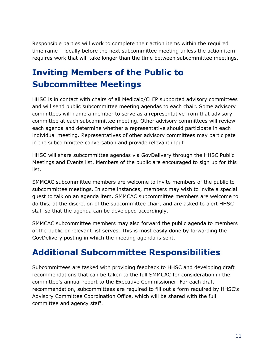Responsible parties will work to complete their action items within the required timeframe – ideally before the next subcommittee meeting unless the action item requires work that will take longer than the time between subcommittee meetings.

# <span id="page-13-0"></span>**Inviting Members of the Public to Subcommittee Meetings**

HHSC is in contact with chairs of all Medicaid/CHIP supported advisory committees and will send public subcommittee meeting agendas to each chair. Some advisory committees will name a member to serve as a representative from that advisory committee at each subcommittee meeting. Other advisory committees will review each agenda and determine whether a representative should participate in each individual meeting. Representatives of other advisory committees may participate in the subcommittee conversation and provide relevant input.

HHSC will share subcommittee agendas via GovDelivery through the HHSC Public Meetings and Events list. Members of the public are encouraged to sign up for this list.

SMMCAC subcommittee members are welcome to invite members of the public to subcommittee meetings. In some instances, members may wish to invite a special guest to talk on an agenda item. SMMCAC subcommittee members are welcome to do this, at the discretion of the subcommittee chair, and are asked to alert HHSC staff so that the agenda can be developed accordingly.

SMMCAC subcommittee members may also forward the public agenda to members of the public or relevant list serves. This is most easily done by forwarding the GovDelivery posting in which the meeting agenda is sent.

#### <span id="page-13-1"></span>**Additional Subcommittee Responsibilities**

Subcommittees are tasked with providing feedback to HHSC and developing draft recommendations that can be taken to the full SMMCAC for consideration in the committee's annual report to the Executive Commissioner. For each draft recommendation, subcommittees are required to fill out a form required by HHSC's Advisory Committee Coordination Office, which will be shared with the full committee and agency staff.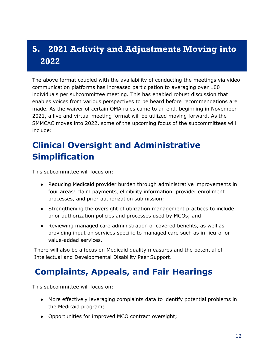# <span id="page-14-0"></span>**5. 2021 Activity and Adjustments Moving into 2022**

The above format coupled with the availability of conducting the meetings via video communication platforms has increased participation to averaging over 100 individuals per subcommittee meeting. This has enabled robust discussion that enables voices from various perspectives to be heard before recommendations are made. As the waiver of certain OMA rules came to an end, beginning in November 2021, a live and virtual meeting format will be utilized moving forward. As the SMMCAC moves into 2022, some of the upcoming focus of the subcommittees will include:

# **Clinical Oversight and Administrative Simplification**

This subcommittee will focus on:

- Reducing Medicaid provider burden through administrative improvements in four areas: claim payments, eligibility information, provider enrollment processes, and prior authorization submission;
- Strengthening the oversight of utilization management practices to include prior authorization policies and processes used by MCOs; and
- Reviewing managed care administration of covered benefits, as well as providing input on services specific to managed care such as in-lieu-of or value-added services.

There will also be a focus on Medicaid quality measures and the potential of Intellectual and Developmental Disability Peer Support.

## **Complaints, Appeals, and Fair Hearings**

This subcommittee will focus on:

- More effectively leveraging complaints data to identify potential problems in the Medicaid program;
- Opportunities for improved MCO contract oversight;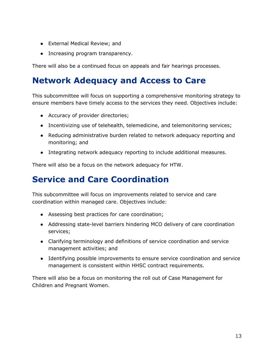- External Medical Review; and
- Increasing program transparency.

There will also be a continued focus on appeals and fair hearings processes.

## **Network Adequacy and Access to Care**

This subcommittee will focus on supporting a comprehensive monitoring strategy to ensure members have timely access to the services they need. Objectives include:

- Accuracy of provider directories;
- Incentivizing use of telehealth, telemedicine, and telemonitoring services;
- Reducing administrative burden related to network adequacy reporting and monitoring; and
- Integrating network adequacy reporting to include additional measures.

There will also be a focus on the network adequacy for HTW.

#### **Service and Care Coordination**

This subcommittee will focus on improvements related to service and care coordination within managed care. Objectives include:

- Assessing best practices for care coordination;
- Addressing state-level barriers hindering MCO delivery of care coordination services;
- Clarifying terminology and definitions of service coordination and service management activities; and
- Identifying possible improvements to ensure service coordination and service management is consistent within HHSC contract requirements.

There will also be a focus on monitoring the roll out of Case Management for Children and Pregnant Women.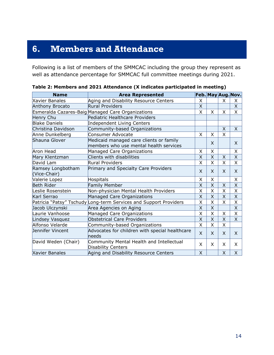## <span id="page-16-0"></span>**6. Members and Attendance**

Following is a list of members of the SMMCAC including the group they represent as well as attendance percentage for SMMCAC full committee meetings during 2021.

| <b>Name</b>                       | <b>Area Represented</b>                                                           |              |   |                         | Feb. May Aug. Nov.      |
|-----------------------------------|-----------------------------------------------------------------------------------|--------------|---|-------------------------|-------------------------|
| <b>Xavier Banales</b>             | Aging and Disability Resource Centers                                             | X            |   | X                       | $\mathsf{X}$            |
| <b>Anthony Brocato</b>            | <b>Rural Providers</b>                                                            |              |   |                         | $\mathsf{X}$            |
|                                   | Esmeralda Cazares-Baig Managed Care Organizations                                 | X            | X | X                       | X                       |
| Henry Chu                         | Pediatric Healthcare Providers                                                    |              |   |                         |                         |
| <b>Blake Daniels</b>              | <b>Independent Living Centers</b>                                                 |              |   |                         |                         |
| Christina Davidson                | Community-based Organizations                                                     |              |   | X                       | $\mathsf{X}$            |
| Anne Dunkelberg                   | <b>Consumer Advocate</b>                                                          | X            | X | X                       |                         |
| Shauna Glover                     | Medicaid managed care clients or family<br>members who use mental health services |              | X |                         | X                       |
| Aron Head                         | Managed Care Organizations                                                        | X            | X |                         | X                       |
| Mary Klentzman                    | Clients with disabilities                                                         | X            | X | Χ                       | $\overline{X}$          |
| David Lam                         | <b>Rural Providers</b>                                                            | X            | X | X                       | X                       |
| Ramsey Longbotham<br>(Vice-Chair) | Primary and Specialty Care Providers                                              | X            | X | X                       | $\mathsf{X}$            |
| Valerie Lopez                     | Hospitals                                                                         | X            | X |                         | X                       |
| Beth Rider                        | Family Member                                                                     | X            | X | Χ                       | $\mathsf{X}% _{0}$      |
| Leslie Rosenstein                 | Non-physician Mental Health Providers                                             | X            | X | X                       | X                       |
| Karl Serrao                       | Managed Care Organizations                                                        | X            | X | X                       | X                       |
|                                   | Patricia "Patsy" Tschudy Long-term Services and Support Providers                 | X            | X | $\overline{\mathsf{x}}$ | X                       |
| Jacob Ulczynski                   | Area Agencies on Aging                                                            | X            | X |                         | $\overline{\mathsf{x}}$ |
| Laurie Vanhoose                   | Managed Care Organizations                                                        | X            | X | X                       | $\overline{\mathsf{x}}$ |
| Lindsey Vasquez                   | <b>Obstetrical Care Providers</b>                                                 | X            | X | X                       | X                       |
| Alfonso Velarde                   | Community-based Organizations                                                     | X            | X | X                       |                         |
| Jennifer Vincent                  | Advocates for children with special healthcare<br>heeds                           | $\mathsf{x}$ | X | X                       | X                       |
| David Weden (Chair)               | Community Mental Health and Intellectual<br>Disability Centers                    | X            | X | X                       | $\times$                |
| <b>Xavier Banales</b>             | Aging and Disability Resource Centers                                             | X            |   | $\times$                | X                       |

|  | Table 2: Members and 2021 Attendance (X indicates participated in meeting) |  |  |  |
|--|----------------------------------------------------------------------------|--|--|--|
|  |                                                                            |  |  |  |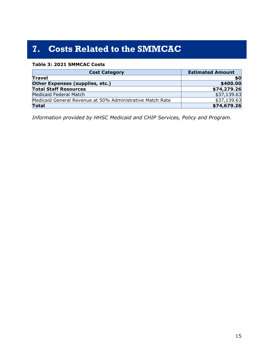# <span id="page-17-0"></span>**7. Costs Related to the SMMCAC**

#### **Table 3: 2021 SMMCAC Costs**

| <b>Cost Category</b>                                      | <b>Estimated Amount</b> |
|-----------------------------------------------------------|-------------------------|
| <b>Travel</b>                                             | \$0                     |
| Other Expenses (supplies, etc.)                           | \$400.00                |
| <b>Total Staff Resources</b>                              | \$74,279.26             |
| Medicaid Federal Match                                    | \$37,139.63             |
| Medicaid General Revenue at 50% Administrative Match Rate | \$37,139.63             |
| <b>Total</b>                                              | \$74,679.26             |

*Information provided by HHSC Medicaid and CHIP Services, Policy and Program.*